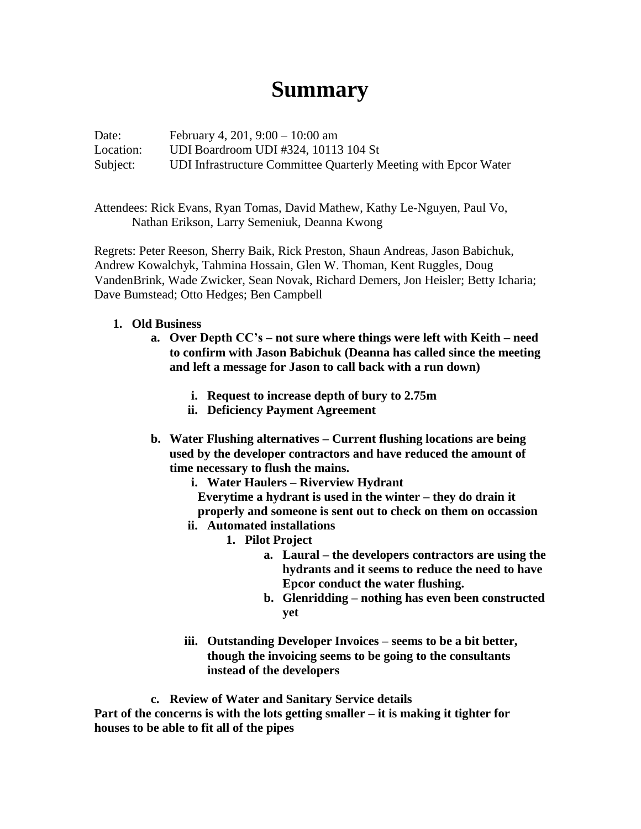## **Summary**

Date: February 4, 201, 9:00 – 10:00 am Location: UDI Boardroom UDI #324, 10113 104 St Subject: UDI Infrastructure Committee Quarterly Meeting with Epcor Water

Attendees: Rick Evans, Ryan Tomas, David Mathew, Kathy Le-Nguyen, Paul Vo, Nathan Erikson, Larry Semeniuk, Deanna Kwong

Regrets: Peter Reeson, Sherry Baik, Rick Preston, Shaun Andreas, Jason Babichuk, Andrew Kowalchyk, Tahmina Hossain, Glen W. Thoman, Kent Ruggles, Doug VandenBrink, Wade Zwicker, Sean Novak, Richard Demers, Jon Heisler; Betty Icharia; Dave Bumstead; Otto Hedges; Ben Campbell

## **1. Old Business**

- **a. Over Depth CC's – not sure where things were left with Keith – need to confirm with Jason Babichuk (Deanna has called since the meeting and left a message for Jason to call back with a run down)**
	- **i. Request to increase depth of bury to 2.75m**
	- **ii. Deficiency Payment Agreement**
- **b. Water Flushing alternatives – Current flushing locations are being used by the developer contractors and have reduced the amount of time necessary to flush the mains.**
	- **i. Water Haulers – Riverview Hydrant Everytime a hydrant is used in the winter – they do drain it properly and someone is sent out to check on them on occassion**
	- **ii. Automated installations**
		- **1. Pilot Project**
			- **a. Laural – the developers contractors are using the hydrants and it seems to reduce the need to have Epcor conduct the water flushing.**
			- **b. Glenridding – nothing has even been constructed yet**
	- **iii. Outstanding Developer Invoices – seems to be a bit better, though the invoicing seems to be going to the consultants instead of the developers**

**c. Review of Water and Sanitary Service details Part of the concerns is with the lots getting smaller – it is making it tighter for houses to be able to fit all of the pipes**